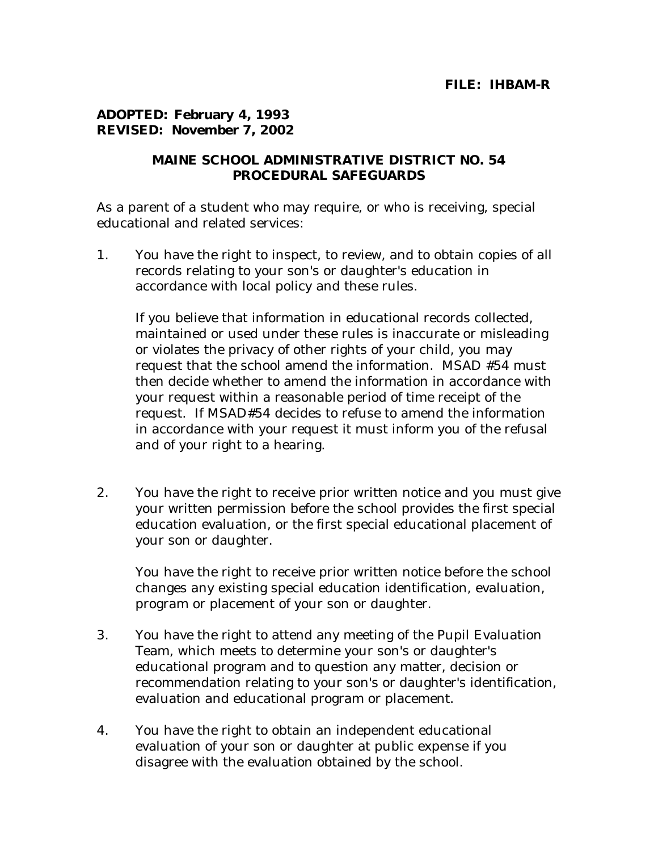## **ADOPTED: February 4, 1993 REVISED: November 7, 2002**

## **MAINE SCHOOL ADMINISTRATIVE DISTRICT NO. 54 PROCEDURAL SAFEGUARDS**

As a parent of a student who may require, or who is receiving, special educational and related services:

1. You have the right to inspect, to review, and to obtain copies of all records relating to your son's or daughter's education in accordance with local policy and these rules.

 If you believe that information in educational records collected, maintained or used under these rules is inaccurate or misleading or violates the privacy of other rights of your child, you may request that the school amend the information. MSAD #54 must then decide whether to amend the information in accordance with your request within a reasonable period of time receipt of the request. If MSAD#54 decides to refuse to amend the information in accordance with your request it must inform you of the refusal and of your right to a hearing.

2. You have the right to receive prior written notice and you must give your written permission before the school provides the first special education evaluation, or the first special educational placement of your son or daughter.

 You have the right to receive prior written notice before the school changes any existing special education identification, evaluation, program or placement of your son or daughter.

- 3. You have the right to attend any meeting of the Pupil Evaluation Team, which meets to determine your son's or daughter's educational program and to question any matter, decision or recommendation relating to your son's or daughter's identification, evaluation and educational program or placement.
- 4. You have the right to obtain an independent educational evaluation of your son or daughter at public expense if you disagree with the evaluation obtained by the school.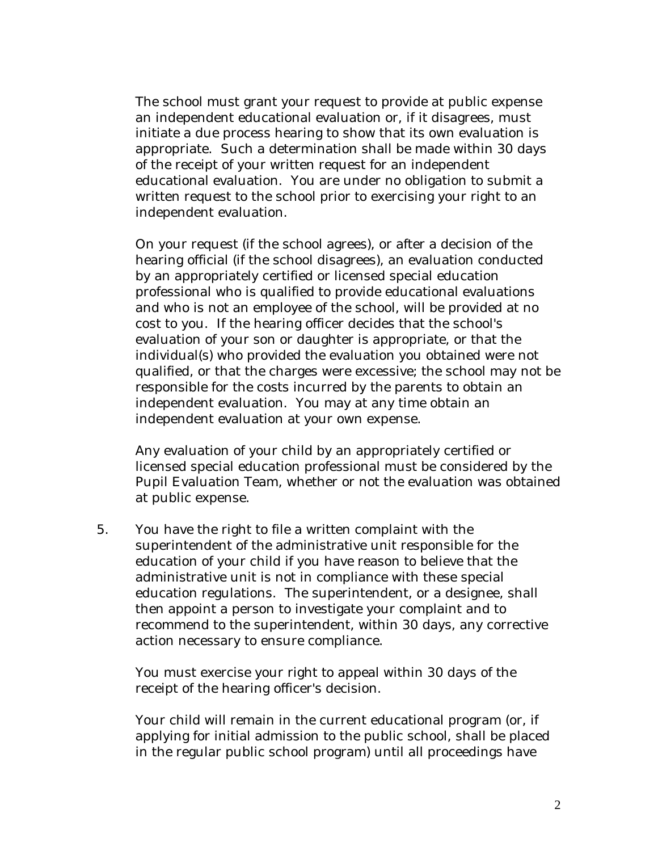The school must grant your request to provide at public expense an independent educational evaluation or, if it disagrees, must initiate a due process hearing to show that its own evaluation is appropriate. Such a determination shall be made within 30 days of the receipt of your written request for an independent educational evaluation. You are under no obligation to submit a written request to the school prior to exercising your right to an independent evaluation.

 On your request (if the school agrees), or after a decision of the hearing official (if the school disagrees), an evaluation conducted by an appropriately certified or licensed special education professional who is qualified to provide educational evaluations and who is not an employee of the school, will be provided at no cost to you. If the hearing officer decides that the school's evaluation of your son or daughter is appropriate, or that the individual(s) who provided the evaluation you obtained were not qualified, or that the charges were excessive; the school may not be responsible for the costs incurred by the parents to obtain an independent evaluation. You may at any time obtain an independent evaluation at your own expense.

 Any evaluation of your child by an appropriately certified or licensed special education professional must be considered by the Pupil Evaluation Team, whether or not the evaluation was obtained at public expense.

5. You have the right to file a written complaint with the superintendent of the administrative unit responsible for the education of your child if you have reason to believe that the administrative unit is not in compliance with these special education regulations. The superintendent, or a designee, shall then appoint a person to investigate your complaint and to recommend to the superintendent, within 30 days, any corrective action necessary to ensure compliance.

 You must exercise your right to appeal within 30 days of the receipt of the hearing officer's decision.

 Your child will remain in the current educational program (or, if applying for initial admission to the public school, shall be placed in the regular public school program) until all proceedings have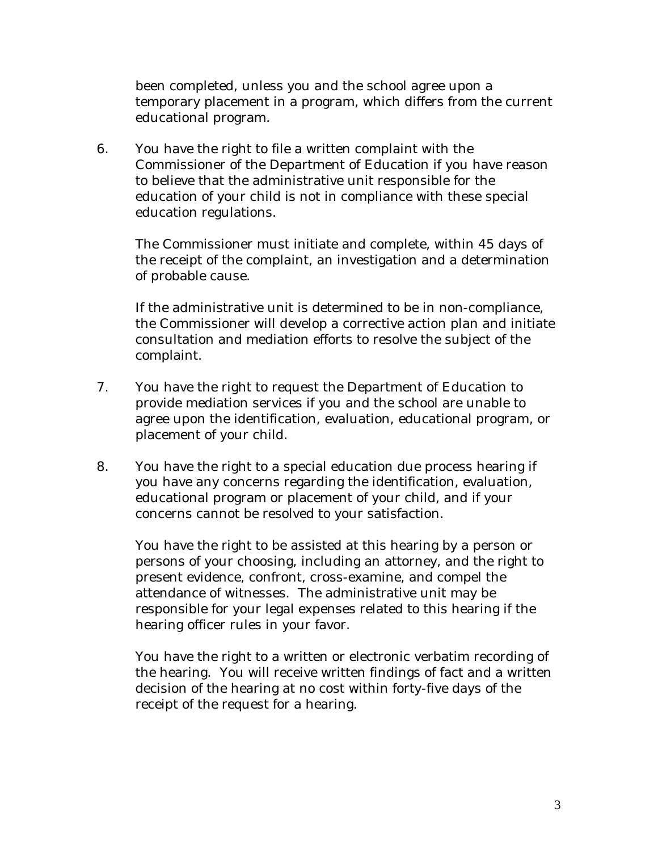been completed, unless you and the school agree upon a temporary placement in a program, which differs from the current educational program.

6. You have the right to file a written complaint with the Commissioner of the Department of Education if you have reason to believe that the administrative unit responsible for the education of your child is not in compliance with these special education regulations.

 The Commissioner must initiate and complete, within 45 days of the receipt of the complaint, an investigation and a determination of probable cause.

 If the administrative unit is determined to be in non-compliance, the Commissioner will develop a corrective action plan and initiate consultation and mediation efforts to resolve the subject of the complaint.

- 7. You have the right to request the Department of Education to provide mediation services if you and the school are unable to agree upon the identification, evaluation, educational program, or placement of your child.
- 8. You have the right to a special education due process hearing if you have any concerns regarding the identification, evaluation, educational program or placement of your child, and if your concerns cannot be resolved to your satisfaction.

 You have the right to be assisted at this hearing by a person or persons of your choosing, including an attorney, and the right to present evidence, confront, cross-examine, and compel the attendance of witnesses. The administrative unit may be responsible for your legal expenses related to this hearing if the hearing officer rules in your favor.

 You have the right to a written or electronic verbatim recording of the hearing. You will receive written findings of fact and a written decision of the hearing at no cost within forty-five days of the receipt of the request for a hearing.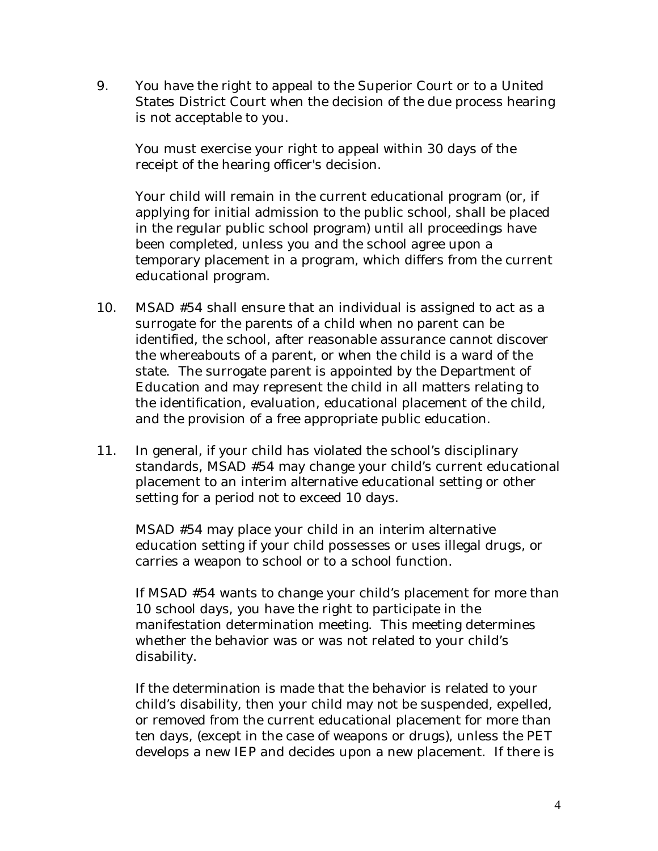9. You have the right to appeal to the Superior Court or to a United States District Court when the decision of the due process hearing is not acceptable to you.

 You must exercise your right to appeal within 30 days of the receipt of the hearing officer's decision.

 Your child will remain in the current educational program (or, if applying for initial admission to the public school, shall be placed in the regular public school program) until all proceedings have been completed, unless you and the school agree upon a temporary placement in a program, which differs from the current educational program.

- 10. MSAD #54 shall ensure that an individual is assigned to act as a surrogate for the parents of a child when no parent can be identified, the school, after reasonable assurance cannot discover the whereabouts of a parent, or when the child is a ward of the state. The surrogate parent is appointed by the Department of Education and may represent the child in all matters relating to the identification, evaluation, educational placement of the child, and the provision of a free appropriate public education.
- 11. In general, if your child has violated the school's disciplinary standards, MSAD #54 may change your child's current educational placement to an interim alternative educational setting or other setting for a period not to exceed 10 days.

 MSAD #54 may place your child in an interim alternative education setting if your child possesses or uses illegal drugs, or carries a weapon to school or to a school function.

 If MSAD #54 wants to change your child's placement for more than 10 school days, you have the right to participate in the manifestation determination meeting. This meeting determines whether the behavior was or was not related to your child's disability.

 If the determination is made that the behavior is related to your child's disability, then your child may not be suspended, expelled, or removed from the current educational placement for more than ten days, (except in the case of weapons or drugs), unless the PET develops a new IEP and decides upon a new placement. If there is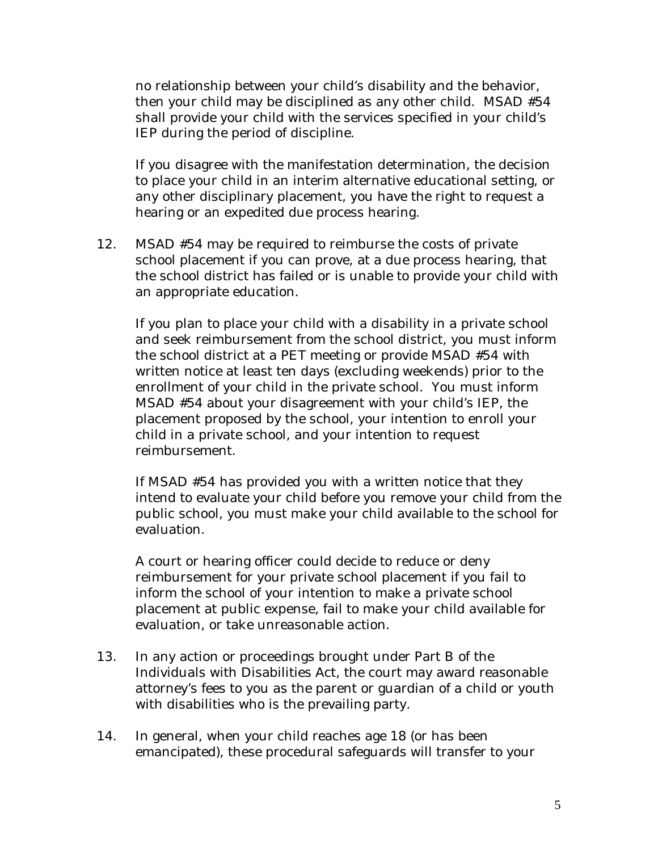no relationship between your child's disability and the behavior, then your child may be disciplined as any other child. MSAD #54 shall provide your child with the services specified in your child's IEP during the period of discipline.

 If you disagree with the manifestation determination, the decision to place your child in an interim alternative educational setting, or any other disciplinary placement, you have the right to request a hearing or an expedited due process hearing.

12. MSAD #54 may be required to reimburse the costs of private school placement if you can prove, at a due process hearing, that the school district has failed or is unable to provide your child with an appropriate education.

 If you plan to place your child with a disability in a private school and seek reimbursement from the school district, you must inform the school district at a PET meeting or provide MSAD #54 with written notice at least ten days (excluding weekends) prior to the enrollment of your child in the private school. You must inform MSAD #54 about your disagreement with your child's IEP, the placement proposed by the school, your intention to enroll your child in a private school, and your intention to request reimbursement.

 If MSAD #54 has provided you with a written notice that they intend to evaluate your child before you remove your child from the public school, you must make your child available to the school for evaluation.

 A court or hearing officer could decide to reduce or deny reimbursement for your private school placement if you fail to inform the school of your intention to make a private school placement at public expense, fail to make your child available for evaluation, or take unreasonable action.

- 13. In any action or proceedings brought under Part B of the Individuals with Disabilities Act, the court may award reasonable attorney's fees to you as the parent or guardian of a child or youth with disabilities who is the prevailing party.
- 14. In general, when your child reaches age 18 (or has been emancipated), these procedural safeguards will transfer to your